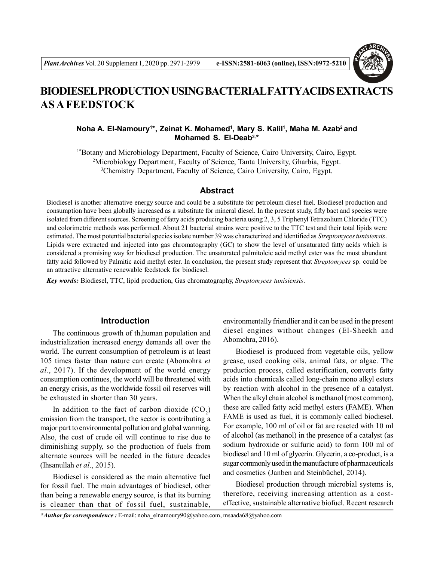

# **BIODIESEL PRODUCTION USING BACTERIAL FATTYACIDS EXTRACTS AS A FEEDSTOCK**

# **Noha A. El-Namoury<sup>1</sup> \*, Zeinat K. Mohamed<sup>1</sup> , Mary S. Kalil<sup>1</sup> , Maha M. Azab<sup>2</sup>and Mohamed S. El-Deab3, \***

1\*Botany and Microbiology Department, Faculty of Science, Cairo University, Cairo, Egypt. <sup>2</sup>Microbiology Department, Faculty of Science, Tanta University, Gharbia, Egypt. <sup>3</sup>Chemistry Department, Faculty of Science, Cairo University, Cairo, Egypt.

## **Abstract**

Biodiesel is another alternative energy source and could be a substitute for petroleum diesel fuel. Biodiesel production and consumption have been globally increased as a substitute for mineral diesel. In the present study, fifty bact and species were isolated from different sources. Screening of fatty acids producing bacteria using 2, 3, 5 Triphenyl Tetrazolium Chloride (TTC) and colorimetric methods was performed. About 21 bacterial strains were positive to the TTC test and their total lipids were estimated. The most potential bacterial species isolate number 39 was characterized and identified as *Streptomyces tunisiensis*. Lipids were extracted and injected into gas chromatography (GC) to show the level of unsaturated fatty acids which is considered a promising way for biodiesel production. The unsaturated palmitoleic acid methyl ester was the most abundant fatty acid followed by Palmitic acid methyl ester. In conclusion, the present study represent that *Streptomyces* sp. could be an attractive alternative renewable feedstock for biodiesel.

*Key words:* Biodiesel, TTC, lipid production, Gas chromatography, *Streptomyces tunisiensis*.

# **Introduction**

The continuous growth of th,human population and industrialization increased energy demands all over the world. The current consumption of petroleum is at least 105 times faster than nature can create (Abomohra *et al*., 2017). If the development of the world energy consumption continues, the world will be threatened with an energy crisis, as the worldwide fossil oil reserves will be exhausted in shorter than 30 years.

In addition to the fact of carbon dioxide  $(CO_2)$ emission from the transport, the sector is contributing a major part to environmental pollution and global warming. Also, the cost of crude oil will continue to rise due to diminishing supply, so the production of fuels from alternate sources will be needed in the future decades (Ihsanullah *et al*., 2015).

Biodiesel is considered as the main alternative fuel for fossil fuel. The main advantages of biodiesel, other than being a renewable energy source, is that its burning is cleaner than that of fossil fuel, sustainable, environmentally friendlier and it can be used in the present diesel engines without changes (El-Sheekh and Abomohra, 2016).

Biodiesel is produced from vegetable oils, yellow grease, used cooking oils, animal fats, or algae. The production process, called esterification, converts fatty acids into chemicals called long-chain mono alkyl esters by reaction with alcohol in the presence of a catalyst. When the alkyl chain alcohol is methanol (most common), these are called fatty acid methyl esters (FAME). When FAME is used as fuel, it is commonly called biodiesel. For example, 100 ml of oil or fat are reacted with 10 ml of alcohol (as methanol) in the presence of a catalyst (as sodium hydroxide or sulfuric acid) to form 100 ml of biodiesel and 10 ml of glycerin. Glycerin, a co-product, is a sugar commonly used in the manufacture of pharmaceuticals and cosmetics (Janben and Steinbüchel, 2014).

Biodiesel production through microbial systems is, therefore, receiving increasing attention as a costeffective, sustainable alternative biofuel. Recent research

*\*Author for correspondence :* E-mail: noha\_elnamoury90@yahoo.com, msaada68@yahoo.com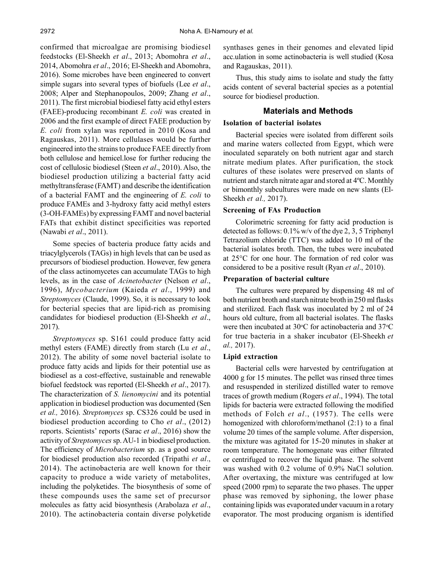confirmed that microalgae are promising biodiesel feedstocks (El-Sheekh *et al*., 2013; Abomohra *et al*., 2014, Abomohra *et al*., 2016; El-Sheekh and Abomohra, 2016). Some microbes have been engineered to convert simple sugars into several types of biofuels (Lee *et al*., 2008; Alper and Stephanopoulos, 2009; Zhang *et al*., 2011). The first microbial biodiesel fatty acid ethyl esters (FAEE)-producing recombinant *E. coli* was created in 2006 and the first example of direct FAEE production by *E. coli* from xylan was reported in 2010 (Kosa and Ragauskas, 2011). More cellulases would be further engineered into the strains to produce FAEE directly from both cellulose and hemicel.lose for further reducing the cost of cellulosic biodiesel (Steen *et al*., 2010). Also, the biodiesel production utilizing a bacterial fatty acid methyltransferase (FAMT) and describe the identification of a bacterial FAMT and the engineering of *E. coli* to produce FAMEs and 3-hydroxy fatty acid methyl esters (3-OH-FAMEs) by expressing FAMT and novel bacterial FATs that exhibit distinct specificities was reported (Nawabi *et al*., 2011).

Some species of bacteria produce fatty acids and triacylglycerols (TAGs) in high levels that can be used as precursors of biodiesel production. However, few genera of the class actinomycetes can accumulate TAGs to high levels, as in the case of *Acinetobacter* (Nelson *et al*., 1996), *Mycobacterium* (Kaieda *et al*., 1999) and *Streptomyces* (Claude, 1999). So, it is necessary to look for becterial species that are lipid-rich as promising candidates for biodiesel production (El-Sheekh *et al*., 2017).

*Streptomyces* sp. S161 could produce fatty acid methyl esters (FAME) directly from starch (Lu *et al*., 2012). The ability of some novel bacterial isolate to produce fatty acids and lipids for their potential use as biodiesel as a cost-effective, sustainable and renewable biofuel feedstock was reported (El-Sheekh *et al*., 2017). The characterization of *S. lienomycini* and its potential application in biodiesel production was documented (Sen *et al.,* 2016). *Streptomyces* sp. CS326 could be used in biodiesel production according to Cho *et al*., (2012) reports. Scientists' reports (Sarac *et al*., 2016) show the activity of *Streptomyces* sp. AU-1 in biodiesel production. The efficiency of *Microbacterium* sp. as a good source for biodiesel production also recorded (Tripathi *et al*., 2014). The actinobacteria are well known for their capacity to produce a wide variety of metabolites, including the polyketides. The biosynthesis of some of these compounds uses the same set of precursor molecules as fatty acid biosynthesis (Arabolaza *et al*., 2010). The actinobacteria contain diverse polyketide synthases genes in their genomes and elevated lipid acc.ulation in some actinobacteria is well studied (Kosa and Ragauskas, 2011).

Thus, this study aims to isolate and study the fatty acids content of several bacterial species as a potential source for biodiesel production.

# **Materials and Methods**

### **Isolation of bacterial isolates**

Bacterial species were isolated from different soils and marine waters collected from Egypt, which were inoculated separately on both nutrient agar and starch nitrate medium plates. After purification, the stock cultures of these isolates were preserved on slants of nutrient and starch nitrate agar and stored at 4ºC. Monthly or bimonthly subcultures were made on new slants (El-Sheekh *et al.,* 2017).

#### **Screening of FAs Production**

Colorimetric screening for fatty acid production is detected as follows: 0.1% w/v of the dye 2, 3, 5 Triphenyl Tetrazolium chloride (TTC) was added to 10 ml of the bacterial isolates broth. Then, the tubes were incubated at 25°C for one hour. The formation of red color was considered to be a positive result (Ryan *et al*., 2010).

#### **Preparation of bacterial culture**

The cultures were prepared by dispensing 48 ml of both nutrient broth and starch nitrate broth in 250 ml flasks and sterilized. Each flask was inoculated by 2 ml of 24 hours old culture, from all bacterial isolates. The flasks were then incubated at  $30^{\circ}$ C for actinobacteria and  $37^{\circ}$ C for true bacteria in a shaker incubator (El-Sheekh *et al.,* 2017).

#### **Lipid extraction**

Bacterial cells were harvested by centrifugation at 4000 g for 15 minutes. The pellet was rinsed three times and resuspended in sterilized distilled water to remove traces of growth medium (Rogers *et al*., 1994). The total lipids for bacteria were extracted following the modified methods of Folch *et al*., (1957). The cells were homogenized with chloroform/methanol (2:1) to a final volume 20 times of the sample volume. After dispersion, the mixture was agitated for 15-20 minutes in shaker at room temperature. The homogenate was either filtrated or centrifuged to recover the liquid phase. The solvent was washed with 0.2 volume of 0.9% NaCl solution. After overtaxing, the mixture was centrifuged at low speed (2000 rpm) to separate the two phases. The upper phase was removed by siphoning, the lower phase containing lipids was evaporated under vacuum in a rotary evaporator. The most producing organism is identified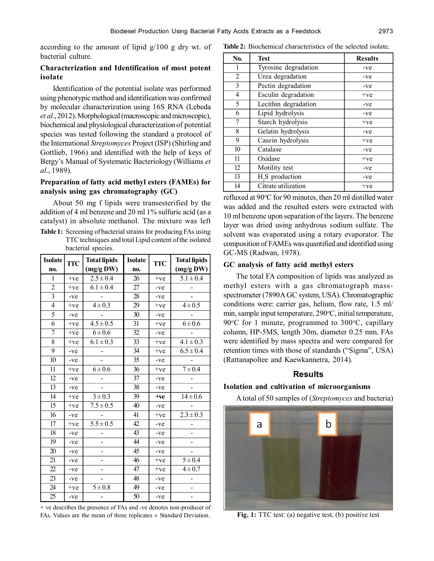according to the amount of lipid g/100 g dry wt. of bacterial culture.

# **Characterization and Identification of most potent isolate**

Identification of the potential isolate was performed using phenotypic method and identification was confirmed by molecular characterization using 16S RNA (Lebeda *et al*., 2012). Morphological (macroscopic and microscopic), biochemical and physiological characterization of potential species was tested following the standard a protocol of the International *Streptomyces* Project (ISP) (Shirling and Gottlieb, 1966) and identified with the help of keys of Bergy's Manual of Systematic Bacteriology (Williams *et al*., 1989).

# **Preparation of fatty acid methyl esters (FAMEs) for analysis using gas chromatography (GC)**

About 50 mg f lipids were transesterified by the addition of 4 ml benzene and 20 ml 1% sulfuric acid (as a catalyst) in absolute methanol. The mixture was left **Table 1:** Screening of bacterial strains for producing FAs using

TTC techniques and total Lipid content of the isolated bacterial species.

| <b>Isolate</b>  | <b>TTC</b> | <b>Total lipids</b>    | <b>Isolate</b>  | <b>TTC</b> | <b>Total lipids</b> |  |
|-----------------|------------|------------------------|-----------------|------------|---------------------|--|
| no.             |            | (mg/gDW)               | no.             |            | (mg/g DW)           |  |
| 1               | $+ve$      | $2.5 \pm 0.4$          | 26              | $+ve$      | $5.1 \pm 0.4$       |  |
| $\overline{2}$  | $+ve$      | $6.1 \pm 0.4$          | 27              | -ve        |                     |  |
| $\overline{3}$  | $-ve$      |                        | 28              | -ve        |                     |  |
| $\overline{4}$  | $+ve$      | $4 \pm 0.3$            | 29              | $+ve$      | $4 \pm 0.5$         |  |
| 5               | -ve        |                        | 30              | -ve        |                     |  |
| 6               | $+ve$      | $4.5 \pm 0.5$          | 31              | $+ve$      | $6 \pm 0.6$         |  |
| 7               | $+ve$      | $6 + 0.6$              | 32              | -ve        |                     |  |
| $\overline{8}$  | $+ve$      | $6.1 \pm 0.3$          | 33              | $+ve$      | $4.1 \pm 0.3$       |  |
| 9               | -ve        |                        | 34              | $+ve$      | $6.5 \pm 0.4$       |  |
| 10              | $-ve$      |                        | 35              | $-ve$      |                     |  |
| 11              | $+ve$      | $6 + 0.6$              | 36              | $+ve$      | $7 + 0.4$           |  |
| $\overline{12}$ | -ve        |                        | 37              | -ve        |                     |  |
| 13              | $-ve$      |                        | 38              | -ve        |                     |  |
| 14              | $+ve$      | $\overline{3} \pm 0.3$ | 39              | $+ve$      | $14 \pm 0.6$        |  |
| 15              | $+ve$      | $7.5 \pm 0.5$          | 40              | $-ve$      |                     |  |
| 16              | -ve        |                        | 41              | $+ve$      | $2.3 \pm 0.3$       |  |
| 17              | $+ve$      | $5.5 \pm 0.5$          | 42              | -ve        |                     |  |
| 18              | -ve        |                        | $\overline{43}$ | -ve        |                     |  |
| 19              | -ve        |                        | 44              | -ve        |                     |  |
| 20              | -ve        |                        | 45              | -ve        |                     |  |
| 21              | -ve        |                        | 46              | $+ve$      | $5 \pm 0.4$         |  |
| 22              | -ve        |                        | 47              | $+ve$      | $4 \pm 0.7$         |  |
| 23              | -ve        |                        | 48              | -ve        |                     |  |
| 24              | $+ve$      | $\overline{5} \pm 0.8$ | 49              | -ve        |                     |  |
| 25              | -ve        |                        | 50              | -ve        |                     |  |

+ ve describes the presence of FAs and -ve denotes non-producer of FAs. Values are the mean of three replicates  $\pm$  Standard Deviation. **Fig. 1:** TTC test: (a) negative test, (b) positive test

**Table 2:** Biochemical characteristics of the selected isolate.

| N <sub>0</sub> . | <b>Test</b>                 | <b>Results</b> |  |
|------------------|-----------------------------|----------------|--|
| 1                | Tyrosine degradation        | -ve            |  |
| $\overline{2}$   | Urea degradation            | -ve            |  |
| 3                | Pectin degradation          | -ve            |  |
| 4                | Esculin degradation         | $+ve$          |  |
| 5                | Lecithin degradation        | -ve            |  |
| 6                | Lipid hydrolysis            | -ve            |  |
| 7                | Starch hydrolysis           | $+ve$          |  |
| 8                | Gelatin hydrolysis          | -ve            |  |
| 9                | Casein hydrolysis           | $+ve$          |  |
| 10               | Catalase                    | -ve            |  |
| 11               | Oxidase                     | $+ve$          |  |
| 12               | Motility test               | -ve            |  |
| 13               | H <sub>2</sub> S production | $-ve$          |  |
| 14               | Citrate utilization         | $+ve$          |  |

refluxed at  $90^{\circ}$ C for 90 minutes, then 20 ml distilled water was added and the resulted esters were extracted with 10 ml benzene upon separation of the layers. The benzene layer was dried using anhydrous sodium sulfate. The solvent was evaporated using a rotary evaporator. The composition of FAMEs was quantified and identified using GC-MS (Radwan, 1978).

#### **GC analysis of fatty acid methyl esters**

The total FA composition of lipids was analyzed as methyl esters with a gas chromatograph massspectrometer (7890A GC system, USA). Chromatographic conditions were: carrier gas, helium, flow rate, 1.5 ml/ min, sample input temperature,  $290^{\circ}$ C, initial temperature, 90 $\degree$ C for 1 minute, programmed to 300 $\degree$ C, capillary column, HP-5MS, length 30m, diameter 0.25 mm. FAs were identified by mass spectra and were compared for retention times with those of standards ("Sigma", USA) (Rattanapoltee and Kaewkannetra, 2014).

## **Results**

#### **Isolation and cultivation of microorganisms**

A total of 50 samples of (*Streptomyces* and bacteria)

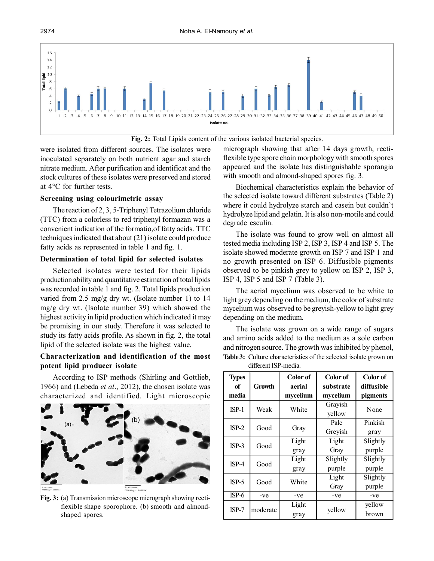



were isolated from different sources. The isolates were inoculated separately on both nutrient agar and starch nitrate medium. After purification and identificat and the stock cultures of these isolates were preserved and stored at 4°C for further tests.

#### **Screening using colourimetric assay**

The reaction of 2, 3, 5-Triphenyl Tetrazolium chloride (TTC) from a colorless to red triphenyl formazan was a convenient indication of the formatio,of fatty acids. TTC techniques indicated that about (21) isolate could produce fatty acids as represented in table 1 and fig. 1.

# **Determination of total lipid for selected isolates**

Selected isolates were tested for their lipids production ability and quantitative estimation of total lipids was recorded in table 1 and fig. 2. Total lipids production varied from 2.5 mg/g dry wt. (Isolate number 1) to 14 mg/g dry wt. (Isolate number 39) which showed the highest activity in lipid production which indicated it may be promising in our study. Therefore it was selected to study its fatty acids profile. As shown in fig. 2, the total lipid of the selected isolate was the highest value.

## **Characterization and identification of the most potent lipid producer isolate**

According to ISP methods (Shirling and Gottlieb, 1966) and (Lebeda *et al*., 2012), the chosen isolate was characterized and identified. Light microscopic



**Fig. 3:** (a) Transmission microscope micrograph showing rectiflexible shape sporophore. (b) smooth and almondshaped spores.

micrograph showing that after 14 days growth, rectiflexible type spore chain morphology with smooth spores appeared and the isolate has distinguishable sporangia with smooth and almond-shaped spores fig. 3.

Biochemical characteristics explain the behavior of the selected isolate toward different substrates (Table 2) where it could hydrolyze starch and casein but couldn't hydrolyze lipid and gelatin. It is also non-motile and could degrade esculin.

The isolate was found to grow well on almost all tested media including ISP 2, ISP 3, ISP 4 and ISP 5. The isolate showed moderate growth on ISP 7 and ISP 1 and no growth presented on ISP 6. Diffusible pigments observed to be pinkish grey to yellow on ISP 2, ISP 3, ISP 4, ISP 5 and ISP 7 (Table 3).

The aerial mycelium was observed to be white to light grey depending on the medium, the color of substrate mycelium was observed to be greyish-yellow to light grey depending on the medium.

The isolate was grown on a wide range of sugars and amino acids added to the medium as a sole carbon and nitrogen source. The growth was inhibited by phenol, **Table 3:** Culture characteristics of the selected isolate grown on different ISP-media.

| <b>Types</b><br>of<br>media | Growth   | Color of<br>aerial<br>mycelium | Color of<br>substrate<br>mycelium | Color of<br>diffusible<br>pigments |
|-----------------------------|----------|--------------------------------|-----------------------------------|------------------------------------|
| $ISP-1$                     | Weak     | White                          | Grayish<br>yellow                 | None                               |
|                             |          |                                | Pale                              | Pinkish                            |
| $ISP-2$                     | Good     | Gray                           | Greyish                           | gray                               |
|                             |          | Light                          | Light                             | Slightly                           |
| $ISP-3$                     | Good     | gray                           | Gray                              | purple                             |
|                             |          | Light                          | Slightly                          | Slightly                           |
| $ISP-4$                     | Good     | gray                           | purple                            | purple                             |
|                             |          |                                | Light                             | Slightly                           |
| $ISP-5$                     | Good     | White                          | Gray                              | purple                             |
| $ISP-6$                     | -ve      | -ve                            | -ve                               | -ve                                |
| $ISP-7$                     |          | Light                          |                                   | yellow                             |
|                             | moderate | gray                           | vellow                            | brown                              |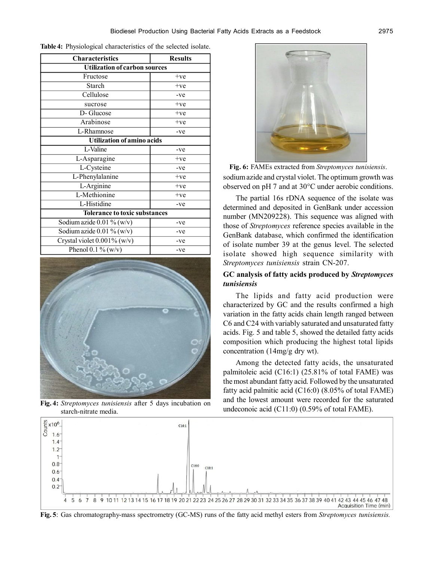| <b>Characteristics</b>               | <b>Results</b> |  |  |  |
|--------------------------------------|----------------|--|--|--|
| <b>Utilization of carbon sources</b> |                |  |  |  |
| Fructose                             | $+ve$          |  |  |  |
| Starch                               | $+ve$          |  |  |  |
| Cellulose                            | $-ve$          |  |  |  |
| sucrose                              | $+ve$          |  |  |  |
| D-Glucose                            | $+ve$          |  |  |  |
| Arabinose                            | $+ve$          |  |  |  |
| L-Rhamnose                           | $-ve$          |  |  |  |
| <b>Utilization of amino acids</b>    |                |  |  |  |
| L-Valine                             | $-ve$          |  |  |  |
| L-Asparagine                         | $+ve$          |  |  |  |
| L-Cysteine                           | -ve            |  |  |  |
| L-Phenylalanine                      | $+ve$          |  |  |  |
| L-Arginine                           | $+ve$          |  |  |  |
| L-Methionine                         | $+ve$          |  |  |  |
| L-Histidine                          | -ve            |  |  |  |
| <b>Tolerance to toxic substances</b> |                |  |  |  |
| Sodium azide $0.01\%$ (w/v)          | -ve            |  |  |  |
| Sodium azide $0.01\%$ (w/v)          | -ve            |  |  |  |
| Crystal violet 0.001% (w/v)          | -ve            |  |  |  |
| Phenol 0.1 % (w/v)                   | -ve            |  |  |  |

**Table 4:** Physiological characteristics of the selected isolate.



**Fig. 4:** *Streptomyces tunisiensis* after 5 days incubation on starch-nitrate media.



**Fig. 6:** FAMEs extracted from *Streptomyces tunisiensis*. sodium azide and crystal violet. The optimum growth was observed on pH 7 and at 30°C under aerobic conditions.

The partial 16s rDNA sequence of the isolate was determined and deposited in GenBank under accession number (MN209228). This sequence was aligned with those of *Streptomyces* reference species available in the GenBank database, which confirmed the identification of isolate number 39 at the genus level. The selected isolate showed high sequence similarity with *Streptomyces tunisiensis* strain CN-207.

## **GC analysis of fatty acids produced by** *Streptomyces tunisiensis*

The lipids and fatty acid production were characterized by GC and the results confirmed a high variation in the fatty acids chain length ranged between C6 and C24 with variably saturated and unsaturated fatty acids. Fig. 5 and table 5, showed the detailed fatty acids composition which producing the highest total lipids concentration (14mg/g dry wt).

Among the detected fatty acids, the unsaturated palmitoleic acid (C16:1) (25.81% of total FAME) was the most abundant fatty acid. Followed by the unsaturated fatty acid palmitic acid (C16:0) (8.05% of total FAME) and the lowest amount were recorded for the saturated undeconoic acid (C11:0) (0.59% of total FAME).



**Fig. 5**: Gas chromatography-mass spectrometry (GC-MS) runs of the fatty acid methyl esters from *Streptomyces tunisiensis.*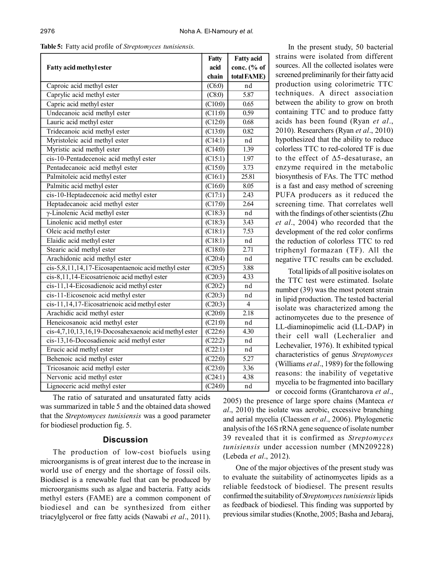|  |  |  | Table 5: Fatty acid profile of Streptomyces tunisiensis. |  |
|--|--|--|----------------------------------------------------------|--|
|--|--|--|----------------------------------------------------------|--|

|                                                       | Fatty                     | <b>Fatty acid</b> |
|-------------------------------------------------------|---------------------------|-------------------|
| Fatty acid methyl ester                               | acid                      | conc. (% of       |
|                                                       | chain                     | total FAME)       |
| Caproic acid methyl ester                             | (C6:0)                    | nd                |
| Caprylic acid methyl ester                            | (C8:0)                    | 5.87              |
| Capric acid methyl ester                              | (C10:0)                   | 0.65              |
| Undecanoic acid methyl ester                          | $\overline{(C11:0)}$      | 0.59              |
| Lauric acid methyl ester                              | $\overline{(C12:0)}$      | 0.68              |
| Tridecanoic acid methyl ester                         | (C13:0)                   | 0.82              |
| Myristoleic acid methyl ester                         | (C14:1)                   | nd                |
| Myristic acid methyl ester                            | $\overline{\text{C14:0}}$ | 1.39              |
| cis-10-Pentadecenoic acid methyl ester                | (C15:1)                   | 1.97              |
| Pentadecanoic acid methyl ester                       | (C15:0)                   | 3.73              |
| Palmitoleic acid methyl ester                         | $\overline{(C16:1)}$      | 25.81             |
| Palmitic acid methyl ester                            | $\overline{(C16:0)}$      | 8.05              |
| cis-10-Heptadecenoic acid methyl ester                | $\overline{(C17:1)}$      | 2.43              |
| Heptadecanoic acid methyl ester                       | $\overline{(C17:0)}$      | 2.64              |
| $\gamma$ -Linolenic Acid methyl ester                 | $\overline{(C18:3)}$      | nd                |
| Linolenic acid methyl ester                           | $\overline{(C18:3)}$      | 3.43              |
| Oleic acid methyl ester                               | (C18:1)                   | 7.53              |
| Elaidic acid methyl ester                             | (C18:1)                   | nd                |
| Stearic acid methyl ester                             | (C18:0)                   | 2.71              |
| Arachidonic acid methyl ester                         | (C20:4)                   | nd                |
| cis-5,8,11,14,17-Eicosapentaenoic acid methyl ester   | (C20:5)                   | 3.88              |
| cis-8,11,14-Eicosatrienoic acid methyl ester          | $\overline{(C20:3)}$      | 4.33              |
| cis-11,14-Eicosadienoic acid methyl ester             | $\overline{(C20:2)}$      | nd                |
| cis-11-Eicosenoic acid methyl ester                   | (C20:3)                   | nd                |
| cis-11,14,17-Eicosatrienoic acid methyl ester         | (C20:3)                   | 4                 |
| Arachidic acid methyl ester                           | $\overline{(C20:0)}$      | 2.18              |
| Heneicosanoic acid methyl ester                       | $\overline{(C21:0)}$      | nd                |
| cis-4,7,10,13,16,19-Docosahexaenoic acid methyl ester | (C22:6)                   | 4.30              |
| cis-13,16-Docosadienoic acid methyl ester             | (C22:2)                   | nd                |
| Erucic acid methyl ester                              | $\overline{(C22:1)}$      | nd                |
| Behenoic acid methyl ester                            | $\overline{(C22:0)}$      | 5.27              |
| Tricosanoic acid methyl ester                         | $\overline{(C23:0)}$      | 3.36              |
| Nervonic acid methyl ester                            | $\overline{\text{C24:1}}$ | 4.38              |
| Lignoceric acid methyl ester                          | $\overline{(C24:0)}$      | nd                |

The ratio of saturated and unsaturated fatty acids was summarized in table 5 and the obtained data showed that the *Streptomyces tunisiensis* was a good parameter for biodiesel production fig. 5.

## **Discussion**

The production of low-cost biofuels using microorganisms is of great interest due to the increase in world use of energy and the shortage of fossil oils. Biodiesel is a renewable fuel that can be produced by microorganisms such as algae and bacteria. Fatty acids methyl esters (FAME) are a common component of biodiesel and can be synthesized from either triacylglycerol or free fatty acids (Nawabi *et al*., 2011).

In the present study, 50 bacterial strains were isolated from different sources. All the collected isolates were screened preliminarily for their fatty acid production using colorimetric TTC techniques. A direct association between the ability to grow on broth containing TTC and to produce fatty acids has been found (Ryan *et al*., 2010). Researchers (Ryan *et al*., 2010) hypothesized that the ability to reduce colorless TTC to red-colored TF is due to the effect of  $\Delta$ 5-desaturase, an enzyme required in the metabolic biosynthesis of FAs. The TTC method is a fast and easy method of screening PUFA producers as it reduced the screening time. That correlates well with the findings of other scientists (Zhu *et al*., 2004) who recorded that the development of the red color confirms the reduction of colorless TTC to red triphenyl formazan (TF). All the negative TTC results can be excluded.

Total lipids of all positive isolates on the TTC test were estimated. Isolate number (39) was the most potent strain in lipid production. The tested bacterial isolate was characterized among the actinomycetes due to the presence of LL-diaminopimelic acid (LL-DAP) in their cell wall (Lecheralier and Lechevalier, 1976). It exhibited typical characteristics of genus *Streptomyces* (Williams *et al*., 1989) for the following reasons: the inability of vegetative mycelia to be fragmented into bacillary or coccoid forms (Grantcharova *et al*.,

2005) the presence of large spore chains (Manteca *et al*., 2010) the isolate was aerobic, excessive branching and aerial mycelia (Claessen *et al*., 2006). Phylogenetic analysis of the 16S rRNA gene sequence of isolate number 39 revealed that it is confirmed as *Streptomyces tunisiensis* under accession number (MN209228) (Lebeda *et al*., 2012).

One of the major objectives of the present study was to evaluate the suitability of actinomycetes lipids as a reliable feedstock of biodiesel. The present results confirmed the suitability of *Streptomyces tunisiensis* lipids as feedback of biodiesel. This finding was supported by previous similar studies (Knothe, 2005; Basha and Jebaraj,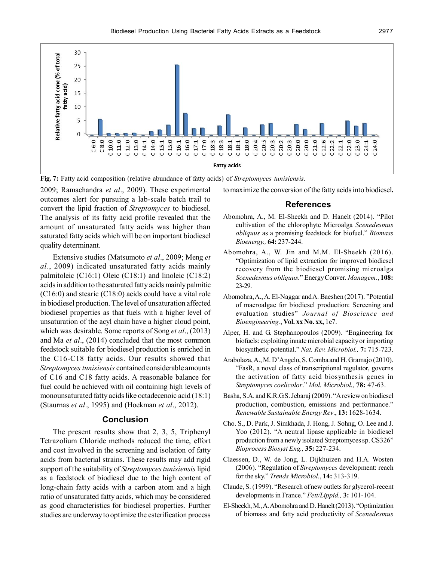

**Fig. 7:** Fatty acid composition (relative abundance of fatty acids) of *Streptomyces tunisiensis.*

2009; Ramachandra *et al*., 2009). These experimental outcomes alert for pursuing a lab-scale batch trail to convert the lipid fraction of *Streptomyces* to biodiesel. The analysis of its fatty acid profile revealed that the amount of unsaturated fatty acids was higher than saturated fatty acids which will be on important biodiesel quality determinant.

Extensive studies (Matsumoto *et al*., 2009; Meng *et al*., 2009) indicated unsaturated fatty acids mainly palmitoleic (C16:1) Oleic (C18:1) and linoleic (C18:2) acids in addition to the saturated fatty acids mainly palmitic (C16:0) and stearic (C18:0) acids could have a vital role in biodiesel production. The level of unsaturation affected biodiesel properties as that fuels with a higher level of unsaturation of the acyl chain have a higher cloud point, which was desirable. Some reports of Song *et al*., (2013) and Ma *et al*., (2014) concluded that the most common feedstock suitable for biodiesel production is enriched in the C16-C18 fatty acids. Our results showed that *Streptomyces tunisiensis* contained considerable amounts of C16 and C18 fatty acids. A reasonable balance for fuel could be achieved with oil containing high levels of monounsaturated fatty acids like octadecenoic acid (18:1) (Staurnas *et al*., 1995) and (Hoekman *et al*., 2012).

#### **Conclusion**

The present results show that 2, 3, 5, Triphenyl Tetrazolium Chloride methods reduced the time, effort and cost involved in the screening and isolation of fatty acids from bacterial strains. These results may add rigid support of the suitability of *Streptomyces tunisiensis* lipid as a feedstock of biodiesel due to the high content of long-chain fatty acids with a carbon atom and a high ratio of unsaturated fatty acids, which may be considered as good characteristics for biodiesel properties. Further studies are underway to optimize the esterification process

to maximize the conversion of the fatty acids into biodiesel**.**

## **References**

- Abomohra, A., M. El-Sheekh and D. Hanelt (2014). "Pilot cultivation of the chlorophyte Microalga *Scenedesmus obliquus* as a promising feedstock for biofuel." *Biomass Bioenergy.,* **64:** 237-244.
- Abomohra, A., W. Jin and M.M. El-Sheekh (2016). "Optimization of lipid extraction for improved biodiesel recovery from the biodiesel promising microalga *Scenedesmus obliquus.*" Energy Conver. *Managem*., **108:** 23-29.
- Abomohra, A., A. El-Naggar and A. Baeshen (2017). "Potential of macroalgae for biodiesel production: Screening and evaluation studies" *Journal of Bioscience and Bioengineering.*, **Vol. xx No. xx,** 1e7.
- Alper, H. and G. Stephanopoulos (2009). "Engineering for biofuels: exploiting innate microbial capacity or importing biosynthetic potential." *Nat. Rev. Microbiol.,* **7:** 715-723.
- Arabolaza, A., M. D'Angelo, S. Comba and H. Gramajo (2010). "FasR, a novel class of transcriptional regulator, governs the activation of fatty acid biosynthesis genes in *Streptomyces coelicolor*." *Mol. Microbiol.,* **78:** 47-63.
- Basha, S.A. and K.R.G.S. Jebaraj (2009). "A review on biodiesel production, combustion, emissions and performance." *Renewable Sustainable Energy Rev*., **13:** 1628-1634.
- Cho. S., D. Park, J. Simkhada, J. Hong, J. Sohng, O. Lee and J. Yoo (2012). "A neutral lipase applicable in biodiesel production from a newly isolated Streptomyces sp. CS326" *Bioprocess Biosyst Eng.,* **35:** 227-234.
- Claessen, D., W. de Jong, L. Dijkhuizen and H.A. Wosten (2006). "Regulation of *Streptomyces* development: reach for the sky." *Trends Microbiol*., **14:** 313-319.
- Claude, S. (1999). "Research of new outlets for glycerol-recent developments in France." *Fett/Lippid.,* **3:** 101-104.
- El-Sheekh, M., A. Abomohra and D. Hanelt (2013). "Optimization of biomass and fatty acid productivity of *Scenedesmus*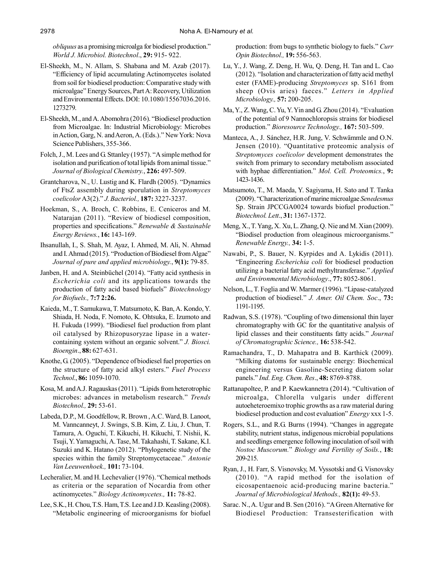*obliquus* as a promising microalga for biodiesel production." *World J. Microbiol. Biotechnol*., **29:** 915- 922.

- El-Sheekh, M., N. Allam, S. Shabana and M. Azab (2017). "Efficiency of lipid accumulating Actinomycetes isolated from soil for biodiesel production: Comparative study with microalgae" Energy Sources, Part A: Recovery, Utilization and Environmental Effects. DOI: 10.1080/15567036.2016. 1273279.
- El-Sheekh, M., and A. Abomohra (2016). "Biodiesel production from Microalgae. In: Industrial Microbiology: Microbes in Action, Garg, N. and Aeron, A. (Eds.)." New York: Nova Science Publishers, 355-366.
- Folch, J., M. Lees and G. Sttanley (1957). "A simple method for isolation and purification of total lipids from animal tissue." *Journal of Biological Chemistry.*, **226:** 497-509.
- Grantcharova, N., U. Lustig and K. Flardh (2005). "Dynamics of FtsZ assembly during sporulation in *Streptomyces coelicolor* A3(2)." *J. Bacteriol.,* **187:** 3227-3237.
- Hoekman, S., A. Broch, C. Robbins, E. Ceniceros and M. Natarajan (2011). "Review of biodiesel composition, properties and specifications." *Renewable & Sustainable Energy Reviews.*, **16:** 143-169.
- Ihsanullah, I., S. Shah, M. Ayaz, I. Ahmed, M. Ali, N. Ahmad and I. Ahmad (2015). "Production of Biodiesel from Algae" *Journal of pure and applied microbiology.*, **9(1):** 79-85.
- Janben, H. and A. Steinbüchel (2014). "Fatty acid synthesis in *Escherichia coli* and its applications towards the production of fatty acid based biofuels" *Biotechnology for Biofuels.,* **7:7 2:26.**
- Kaieda, M., T. Samukawa, T. Matsumoto, K. Ban, A. Kondo, Y. Shiada, H. Noda, F. Nomoto, K. Ohtsuka, E. Izumoto and H. Fukuda (1999). "Biodiesel fuel production from plant oil catalysed by Rhizopusoryzae lipase in a watercontaining system without an organic solvent." *J. Biosci. Bioengin*., **88:** 627-631.
- Knothe, G. (2005). "Dependence of biodiesel fuel properties on the structure of fatty acid alkyl esters." *Fuel Process Technol*., **86:** 1059-1070.
- Kosa, M. and A.J. Ragauskas (2011). "Lipids from heterotrophic microbes: advances in metabolism research." *Trends Biotechnol.,* **29:** 53-61.
- Labeda, D.P., M. Goodfellow, R. Brown , A.C. Ward, B. Lanoot, M. Vanncanneyt, J. Swings, S.B. Kim, Z. Liu, J. Chun, T. Tamura, A. Oguchi, T. Kikuchi, H. Kikuchi, T. Nishii, K. Tsuji, Y. Yamaguchi, A. Tase, M. Takahashi, T. Sakane, K.I. Suzuki and K. Hatano (2012). "Phylogenetic study of the species within the family Streptomycetaceae." *Antonie Van Leeuwenhoek.,* **101:** 73-104.
- Lecheralier, M. and H. Lechevalier (1976). "Chemical methods as criteria or the separation of Nocardia from other actinomycetes." *Biology Actinomycetes.,* **11:** 78-82.
- Lee, S.K., H. Chou, T.S. Ham, T.S. Lee and J.D. Keasling (2008). "Metabolic engineering of microorganisms for biofuel

production: from bugs to synthetic biology to fuels." *Curr Opin Biotechnol.,* **19:** 556-563.

- Lu, Y., J. Wang, Z. Deng, H. Wu, Q. Deng, H. Tan and L. Cao (2012). "Isolation and characterization of fatty acid methyl ester (FAME)-producing *Streptomyces* sp. S161 from sheep (Ovis aries) faeces." *Letters in Applied Microbiology.,* **57:** 200-205.
- Ma, Y., Z. Wang, C. Yu, Y. Yin and G. Zhou (2014). "Evaluation of the potential of 9 Nannochloropsis strains for biodiesel production." *Bioresource Technology.,* **167:** 503-509.
- Manteca, A., J. Sánchez, H.R. Jung, V. Schwämmle and O.N. Jensen (2010). "Quantitative proteomic analysis of *Streptomyces coelicolor* development demonstrates the switch from primary to secondary metabolism associated with hyphae differentiation." *Mol. Cell. Proteomics.*, **9:** 1423-1436.
- Matsumoto, T., M. Maeda, Y. Sagiyama, H. Sato and T. Tanka (2009). "Characterization of marine microalgae *Senedesmus* Sp. Strain JPCCGA0024 towards biofuel production." *Biotechnol. Lett*., **31:** 1367-1372.
- Meng, X., T. Yang, X. Xu, L. Zhang, Q. Nie and M. Xian (2009). "Biodisel production from oleaginous microorganisms." *Renewable Energy.,* **34:** 1-5.
- Nawabi, P., S. Bauer, N. Kyrpides and A. Lykidis (2011). "Engineering *Escherichia coli* for biodiesel production utilizing a bacterial fatty acid methyltransferase." *Applied and Environmental Microbiology*., **77:** 8052-8061.
- Nelson, L., T. Foglia and W. Marmer (1996). "Lipase-catalyzed production of biodiesel." *J. Amer. Oil Chem. Soc*., **73:** 1191-1195.
- Radwan, S.S. (1978). "Coupling of two dimensional thin layer chromatography with GC for the quantitative analysis of lipid classes and their constituents fatty acids." *Journal of Chromatographic Science.,* **16:** 538-542.
- Ramachandra, T., D. Mahapatra and B. Karthick (2009). "Milking diatoms for sustainable energy: Biochemical engineering versus Gasoline-Secreting diatom solar panels." *Ind. Eng. Chem. Res*., **48:** 8769-8788.
- Rattanapoltee, P. and P. Kaewkannetra (2014). "Cultivation of microalga, Chlorella vulgaris under different autoeheteroemixo trophic growths as a raw material during biodiesel production and cost evaluation" *Energy* xxx 1-5.
- Rogers, S.L., and R.G. Burns (1994). "Changes in aggregate stability, nutrient status, indigenous microbial populations and seedlings emergence following inoculation of soil with *Nostoc Muscorum.*" *Biology and Fertility of Soils.*, **18:** 209-215.
- Ryan, J., H. Farr, S. Visnovsky, M. Vyssotski and G. Visnovsky (2010). "A rapid method for the isolation of eicosapentaenoic acid-producing marine bacteria." *Journal of Microbiological Methods.,* **82(1):** 49-53.
- Sarac. N., A. Ugur and B. Sen (2016). "A Green Alternative for Biodiesel Production: Transesterification with